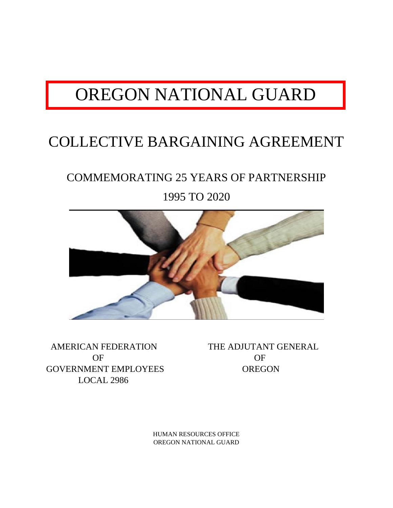# OREGON NATIONAL GUARD

## COLLECTIVE BARGAINING AGREEMENT

## COMMEMORATING 25 YEARS OF PARTNERSHIP

1995 TO 2020



 AMERICAN FEDERATION THE ADJUTANT GENERAL OF OF OF GOVERNMENT EMPLOYEES OREGON LOCAL 2986

HUMAN RESOURCES OFFICE OREGON NATIONAL GUARD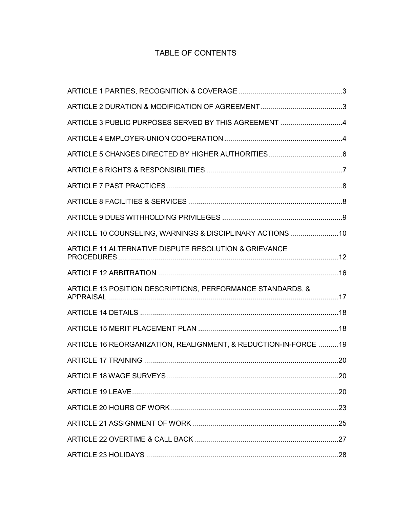## TABLE OF CONTENTS

| ARTICLE 3 PUBLIC PURPOSES SERVED BY THIS AGREEMENT 4             |  |
|------------------------------------------------------------------|--|
|                                                                  |  |
|                                                                  |  |
|                                                                  |  |
|                                                                  |  |
|                                                                  |  |
|                                                                  |  |
| ARTICLE 10 COUNSELING, WARNINGS & DISCIPLINARY ACTIONS 10        |  |
| ARTICLE 11 ALTERNATIVE DISPUTE RESOLUTION & GRIEVANCE            |  |
|                                                                  |  |
| ARTICLE 13 POSITION DESCRIPTIONS, PERFORMANCE STANDARDS, &       |  |
|                                                                  |  |
|                                                                  |  |
| ARTICLE 16 REORGANIZATION, REALIGNMENT, & REDUCTION-IN-FORCE  19 |  |
|                                                                  |  |
|                                                                  |  |
|                                                                  |  |
|                                                                  |  |
|                                                                  |  |
|                                                                  |  |
|                                                                  |  |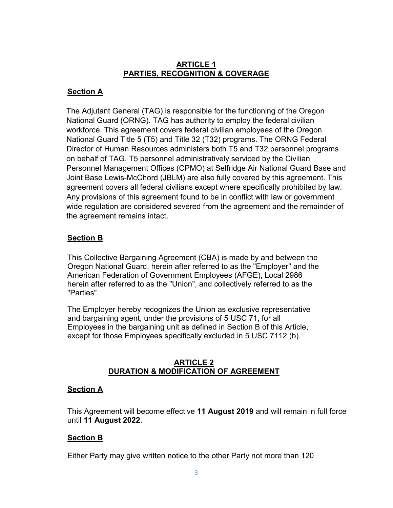## **ARTICLE 1 PARTIES, RECOGNITION & COVERAGE**

## **Section A**

The Adjutant General (TAG) is responsible for the functioning of the Oregon National Guard (ORNG). TAG has authority to employ the federal civilian workforce. This agreement covers federal civilian employees of the Oregon National Guard Title 5 (T5) and Title 32 (T32) programs. The ORNG Federal Director of Human Resources administers both T5 and T32 personnel programs on behalf of TAG. T5 personnel administratively serviced by the Civilian Personnel Management Offices (CPMO) at Selfridge Air National Guard Base and Joint Base Lewis-McChord (JBLM) are also fully covered by this agreement. This agreement covers all federal civilians except where specifically prohibited by law. Any provisions of this agreement found to be in conflict with law or government wide regulation are considered severed from the agreement and the remainder of the agreement remains intact.

## **Section B**

This Collective Bargaining Agreement (CBA) is made by and between the Oregon National Guard, herein after referred to as the "Employer" and the American Federation of Government Employees (AFGE), Local 2986 herein after referred to as the "Union", and collectively referred to as the "Parties".

The Employer hereby recognizes the Union as exclusive representative and bargaining agent, under the provisions of [5 USC 71,](http://uscode.house.gov/download/pls/05C71.txt) for all Employees in the bargaining unit as defined in Section B of this Article, except for those Employees specifically excluded in 5 USC 7112 (b).

#### **ARTICLE 2 DURATION & MODIFICATION OF AGREEMENT**

#### **Section A**

This Agreement will become effective **11 August 2019** and will remain in full force until **11 August 2022**.

#### **Section B**

Either Party may give written notice to the other Party not more than 120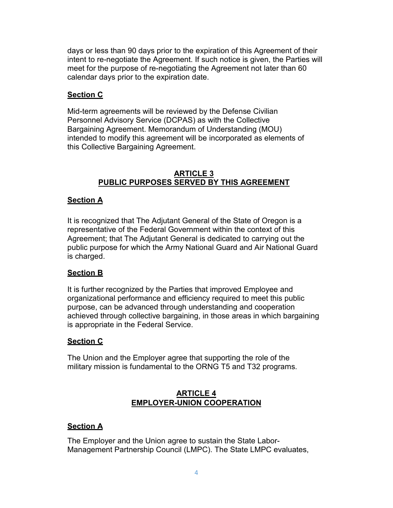days or less than 90 days prior to the expiration of this Agreement of their intent to re-negotiate the Agreement. If such notice is given, the Parties will meet for the purpose of re-negotiating the Agreement not later than 60 calendar days prior to the expiration date.

## **Section C**

Mid-term agreements will be reviewed by the Defense Civilian Personnel Advisory Service (DCPAS) as with the Collective Bargaining Agreement. Memorandum of Understanding (MOU) intended to modify this agreement will be incorporated as elements of this Collective Bargaining Agreement.

## **ARTICLE 3 PUBLIC PURPOSES SERVED BY THIS AGREEMENT**

## **Section A**

It is recognized that The Adjutant General of the State of Oregon is a representative of the Federal Government within the context of this Agreement; that The Adjutant General is dedicated to carrying out the public purpose for which the Army National Guard and Air National Guard is charged.

## **Section B**

It is further recognized by the Parties that improved Employee and organizational performance and efficiency required to meet this public purpose, can be advanced through understanding and cooperation achieved through collective bargaining, in those areas in which bargaining is appropriate in the Federal Service.

## **Section C**

The Union and the Employer agree that supporting the role of the military mission is fundamental to the ORNG T5 and T32 programs.

## **ARTICLE 4 EMPLOYER-UNION COOPERATION**

#### **Section A**

The Employer and the Union agree to sustain the State Labor-Management Partnership Council (LMPC). The State LMPC evaluates,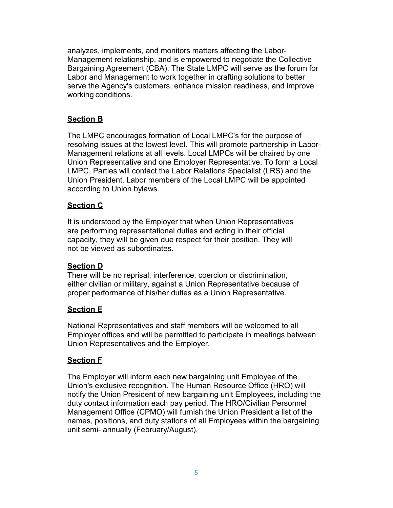analyzes, implements, and monitors matters affecting the Labor-Management relationship, and is empowered to negotiate the Collective Bargaining Agreement (CBA). The State LMPC will serve as the forum for Labor and Management to work together in crafting solutions to better serve the Agency's customers, enhance mission readiness, and improve working conditions.

## **Section B**

The LMPC encourages formation of Local LMPC's for the purpose of resolving issues at the lowest level. This will promote partnership in Labor-Management relations at all levels. Local LMPCs will be chaired by one Union Representative and one Employer Representative. To form a Local LMPC, Parties will contact the Labor Relations Specialist (LRS) and the Union President. Labor members of the Local LMPC will be appointed according to Union bylaws.

## **Section C**

It is understood by the Employer that when Union Representatives are performing representational duties and acting in their official capacity, they will be given due respect for their position. They will not be viewed as subordinates.

## **Section D**

There will be no reprisal, interference, coercion or discrimination, either civilian or military, against a Union Representative because of proper performance of his/her duties as a Union Representative.

## **Section E**

National Representatives and staff members will be welcomed to all Employer offices and will be permitted to participate in meetings between Union Representatives and the Employer.

## **Section F**

The Employer will inform each new bargaining unit Employee of the Union's exclusive recognition. The Human Resource Office (HRO) will notify the Union President of new bargaining unit Employees, including the duty contact information each pay period. The HRO/Civilian Personnel Management Office (CPMO) will furnish the Union President a list of the names, positions, and duty stations of all Employees within the bargaining unit semi- annually (February/August).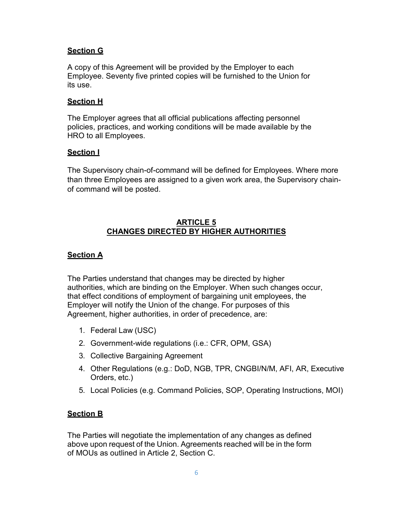## **Section G**

A copy of this Agreement will be provided by the Employer to each Employee. Seventy five printed copies will be furnished to the Union for its use.

#### **Section H**

The Employer agrees that all official publications affecting personnel policies, practices, and working conditions will be made available by the HRO to all Employees.

#### **Section I**

The Supervisory chain-of-command will be defined for Employees. Where more than three Employees are assigned to a given work area, the Supervisory chainof command will be posted.

#### **ARTICLE 5 CHANGES DIRECTED BY HIGHER AUTHORITIES**

#### **Section A**

The Parties understand that changes may be directed by higher authorities, which are binding on the Employer. When such changes occur, that effect conditions of employment of bargaining unit employees, the Employer will notify the Union of the change. For purposes of this Agreement, higher authorities, in order of precedence, are:

- 1. Federal Law (USC)
- 2. Government-wide regulations (i.e.: CFR, OPM, GSA)
- 3. Collective Bargaining Agreement
- 4. Other Regulations (e.g.: DoD, NGB, TPR, CNGBI/N/M, AFI, AR, Executive Orders, etc.)
- 5. Local Policies (e.g. Command Policies, SOP, Operating Instructions, MOI)

## **Section B**

The Parties will negotiate the implementation of any changes as defined above upon request of the Union. Agreements reached will be in the form of MOUs as outlined in Article 2, Section C.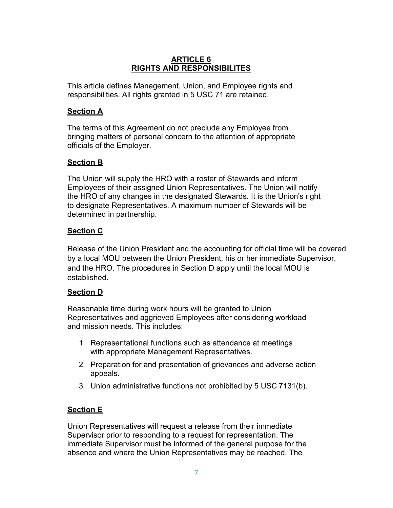## **ARTICLE 6 RIGHTS AND RESPONSIBILITES**

This article defines Management, Union, and Employee rights and responsibilities. All rights granted in [5 USC 71 a](http://uscode.house.gov/download/pls/05C71.txt)re retained.

## **Section A**

The terms of this Agreement do not preclude any Employee from bringing matters of personal concern to the attention of appropriate officials of the Employer.

## **Section B**

The Union will supply the HRO with a roster of Stewards and inform Employees of their assigned Union Representatives. The Union will notify the HRO of any changes in the designated Stewards. It is the Union's right to designate Representatives. A maximum number of Stewards will be determined in partnership.

## **Section C**

Release of the Union President and the accounting for official time will be covered by a local MOU between the Union President, his or her immediate Supervisor, and the HRO. The procedures in Section D apply until the local MOU is established.

## **Section D**

Reasonable time during work hours will be granted to Union Representatives and aggrieved Employees after considering workload and mission needs. This includes:

- 1. Representational functions such as attendance at meetings with appropriate Management Representatives.
- 2. Preparation for and presentation of grievances and adverse action appeals.
- 3. Union administrative functions not prohibited by 5 USC [7131\(b\)](http://uscode.house.gov/download/pls/05C71.txt).

## **Section E**

Union Representatives will request a release from their immediate Supervisor prior to responding to a request for representation. The immediate Supervisor must be informed of the general purpose for the absence and where the Union Representatives may be reached. The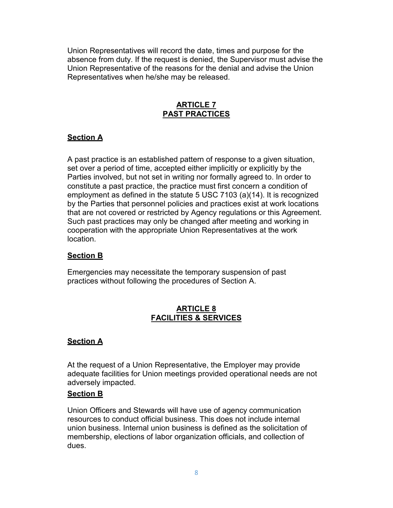Union Representatives will record the date, times and purpose for the absence from duty. If the request is denied, the Supervisor must advise the Union Representative of the reasons for the denial and advise the Union Representatives when he/she may be released.

## **ARTICLE 7 PAST PRACTICES**

## **Section A**

A past practice is an established pattern of response to a given situation, set over a period of time, accepted either implicitly or explicitly by the Parties involved, but not set in writing nor formally agreed to. In order to constitute a past practice, the practice must first concern a condition of employment as defined in the statute [5 USC 710](http://uscode.house.gov/download/pls/05C71.txt)3 (a)(14). It is recognized by the Parties that personnel policies and practices exist at work locations that are not covered or restricted by Agency regulations or this Agreement. Such past practices may only be changed after meeting and working in cooperation with the appropriate Union Representatives at the work location.

#### **Section B**

Emergencies may necessitate the temporary suspension of past practices without following the procedures of Section A.

## **ARTICLE 8 FACILITIES & SERVICES**

## **Section A**

At the request of a Union Representative, the Employer may provide adequate facilities for Union meetings provided operational needs are not adversely impacted.

#### **Section B**

Union Officers and Stewards will have use of agency communication resources to conduct official business. This does not include internal union business. Internal union business is defined as the solicitation of membership, elections of labor organization officials, and collection of dues.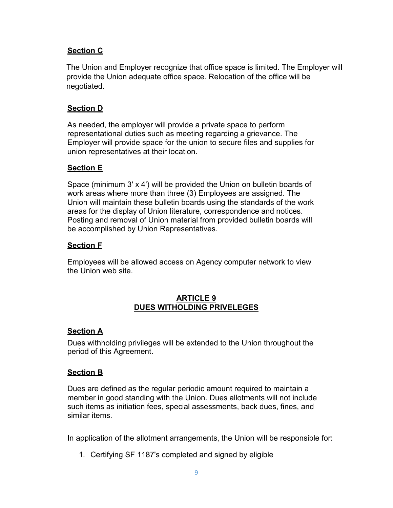## **Section C**

The Union and Employer recognize that office space is limited. The Employer will provide the Union adequate office space. Relocation of the office will be negotiated.

## **Section D**

As needed, the employer will provide a private space to perform representational duties such as meeting regarding a grievance. The Employer will provide space for the union to secure files and supplies for union representatives at their location.

#### **Section E**

Space (minimum 3' x 4') will be provided the Union on bulletin boards of work areas where more than three (3) Employees are assigned. The Union will maintain these bulletin boards using the standards of the work areas for the display of Union literature, correspondence and notices. Posting and removal of Union material from provided bulletin boards will be accomplished by Union Representatives.

#### **Section F**

Employees will be allowed access on Agency computer network to view the Union web site.

#### **ARTICLE 9 DUES WITHOLDING PRIVELEGES**

#### **Section A**

Dues withholding privileges will be extended to the Union throughout the period of this Agreement.

#### **Section B**

Dues are defined as the regular periodic amount required to maintain a member in good standing with the Union. Dues allotments will not include such items as initiation fees, special assessments, back dues, fines, and similar items.

In application of the allotment arrangements, the Union will be responsible for:

1. Certifying SF 1187's completed and signed by eligible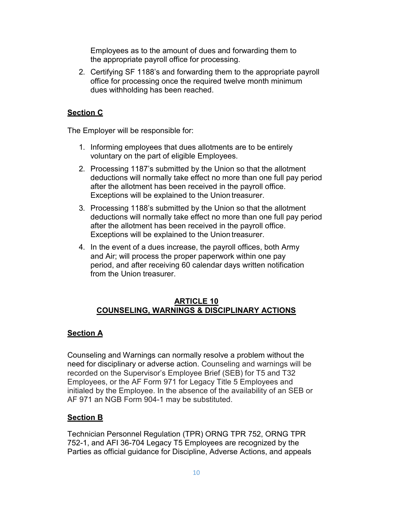Employees as to the amount of dues and forwarding them to the appropriate payroll office for processing.

2. Certifying SF 1188's and forwarding them to the appropriate payroll office for processing once the required twelve month minimum dues withholding has been reached.

## **Section C**

The Employer will be responsible for:

- 1. Informing employees that dues allotments are to be entirely voluntary on the part of eligible Employees.
- 2. Processing 1187's submitted by the Union so that the allotment deductions will normally take effect no more than one full pay period after the allotment has been received in the payroll office. Exceptions will be explained to the Union treasurer.
- 3. Processing 1188's submitted by the Union so that the allotment deductions will normally take effect no more than one full pay period after the allotment has been received in the payroll office. Exceptions will be explained to the Union treasurer.
- 4. In the event of a dues increase, the payroll offices, both Army and Air; will process the proper paperwork within one pay period, and after receiving 60 calendar days written notification from the Union treasurer.

## **ARTICLE 10 COUNSELING, WARNINGS & DISCIPLINARY ACTIONS**

## **Section A**

Counseling and Warnings can normally resolve a problem without the need for disciplinary or adverse action. Counseling and warnings will be recorded on the Supervisor's Employee Brief (SEB) for T5 and T32 Employees, or the AF Form 971 for Legacy Title 5 Employees and initialed by the Employee. In the absence of the availability of an SEB or AF 971 an NGB Form 904-1 may be substituted.

#### **Section B**

Technician Personnel Regulation (TPR) ORNG TPR 752, ORNG TPR 752-1, and AFI 36-704 Legacy T5 Employees are recognized by the Parties as official guidance for Discipline, Adverse Actions, and appeals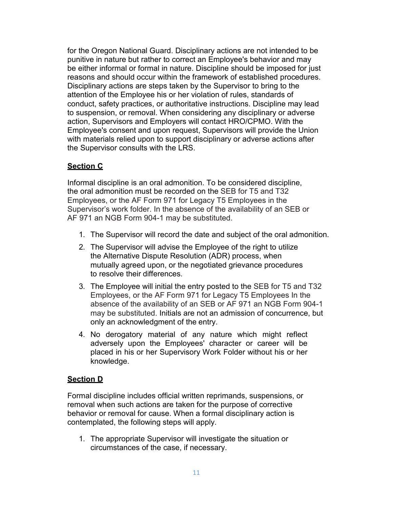for the Oregon National Guard. Disciplinary actions are not intended to be punitive in nature but rather to correct an Employee's behavior and may be either informal or formal in nature. Discipline should be imposed for just reasons and should occur within the framework of established procedures. Disciplinary actions are steps taken by the Supervisor to bring to the attention of the Employee his or her violation of rules, standards of conduct, safety practices, or authoritative instructions. Discipline may lead to suspension, or removal. When considering any disciplinary or adverse action, Supervisors and Employers will contact HRO/CPMO. With the Employee's consent and upon request, Supervisors will provide the Union with materials relied upon to support disciplinary or adverse actions after the Supervisor consults with the LRS.

## **Section C**

Informal discipline is an oral admonition. To be considered discipline, the oral admonition must be recorded on the SEB for T5 and T32 Employees, or the AF Form 971 for Legacy T5 Employees in the Supervisor's work folder. In the absence of the availability of an SEB or AF 971 an NGB Form 904-1 may be substituted.

- 1. The Supervisor will record the date and subject of the oral admonition.
- 2. The Supervisor will advise the Employee of the right to utilize the Alternative Dispute Resolution (ADR) process, when mutually agreed upon, or the negotiated grievance procedures to resolve their differences.
- 3. The Employee will initial the entry posted to the SEB for T5 and T32 Employees, or the AF Form 971 for Legacy T5 Employees In the absence of the availability of an SEB or AF 971 an NGB Form 904-1 may be substituted. Initials are not an admission of concurrence, but only an acknowledgment of the entry.
- 4. No derogatory material of any nature which might reflect adversely upon the Employees' character or career will be placed in his or her Supervisory Work Folder without his or her knowledge.

#### **Section D**

Formal discipline includes official written reprimands, suspensions, or removal when such actions are taken for the purpose of corrective behavior or removal for cause. When a formal disciplinary action is contemplated, the following steps will apply.

1. The appropriate Supervisor will investigate the situation or circumstances of the case, if necessary.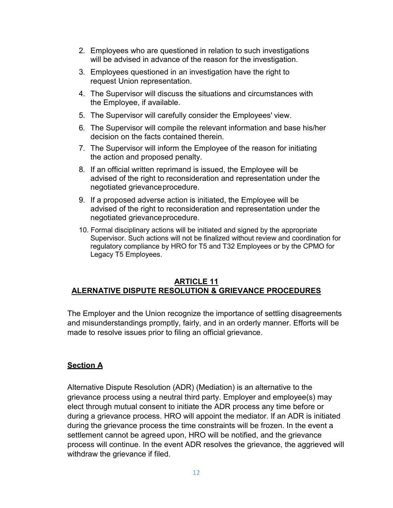- 2. Employees who are questioned in relation to such investigations will be advised in advance of the reason for the investigation.
- 3. Employees questioned in an investigation have the right to request Union representation.
- 4. The Supervisor will discuss the situations and circumstances with the Employee, if available.
- 5. The Supervisor will carefully consider the Employees' view.
- 6. The Supervisor will compile the relevant information and base his/her decision on the facts contained therein.
- 7. The Supervisor will inform the Employee of the reason for initiating the action and proposed penalty.
- 8. If an official written reprimand is issued, the Employee will be advised of the right to reconsideration and representation under the negotiated grievanceprocedure.
- 9. If a proposed adverse action is initiated, the Employee will be advised of the right to reconsideration and representation under the negotiated grievanceprocedure.
- 10. Formal disciplinary actions will be initiated and signed by the appropriate Supervisor. Such actions will not be finalized without review and coordination for regulatory compliance by HRO for T5 and T32 Employees or by the CPMO for Legacy T5 Employees.

## **ARTICLE 11 ALERNATIVE DISPUTE RESOLUTION & GRIEVANCE PROCEDURES**

The Employer and the Union recognize the importance of settling disagreements and misunderstandings promptly, fairly, and in an orderly manner. Efforts will be made to resolve issues prior to filing an official grievance.

## **Section A**

Alternative Dispute Resolution (ADR) (Mediation) is an alternative to the grievance process using a neutral third party. Employer and employee(s) may elect through mutual consent to initiate the ADR process any time before or during a grievance process. HRO will appoint the mediator. If an ADR is initiated during the grievance process the time constraints will be frozen. In the event a settlement cannot be agreed upon, HRO will be notified, and the grievance process will continue. In the event ADR resolves the grievance, the aggrieved will withdraw the grievance if filed.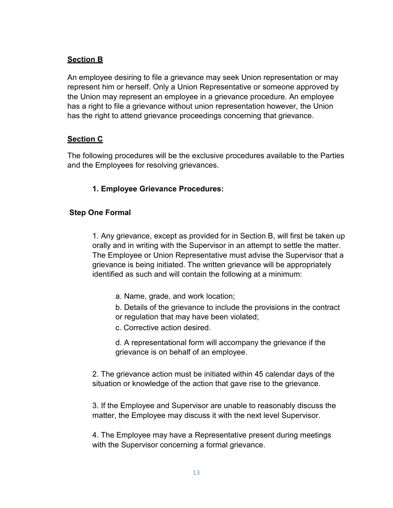## **Section B**

An employee desiring to file a grievance may seek Union representation or may represent him or herself. Only a Union Representative or someone approved by the Union may represent an employee in a grievance procedure. An employee has a right to file a grievance without union representation however, the Union has the right to attend grievance proceedings concerning that grievance.

## **Section C**

The following procedures will be the exclusive procedures available to the Parties and the Employees for resolving grievances.

## **1. Employee Grievance Procedures:**

## **Step One Formal**

1. Any grievance, except as provided for in Section B, will first be taken up orally and in writing with the Supervisor in an attempt to settle the matter. The Employee or Union Representative must advise the Supervisor that a grievance is being initiated. The written grievance will be appropriately identified as such and will contain the following at a minimum:

- a. Name, grade, and work location;
- b. Details of the grievance to include the provisions in the contract or regulation that may have been violated;
- c. Corrective action desired.
- d. A representational form will accompany the grievance if the grievance is on behalf of an employee.

2. The grievance action must be initiated within 45 calendar days of the situation or knowledge of the action that gave rise to the grievance.

3. If the Employee and Supervisor are unable to reasonably discuss the matter, the Employee may discuss it with the next level Supervisor.

4. The Employee may have a Representative present during meetings with the Supervisor concerning a formal grievance.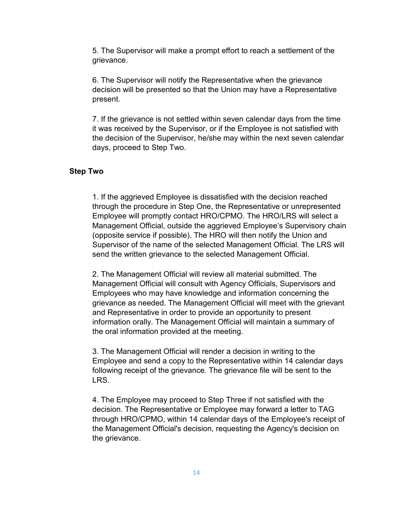5. The Supervisor will make a prompt effort to reach a settlement of the grievance.

6. The Supervisor will notify the Representative when the grievance decision will be presented so that the Union may have a Representative present.

7. If the grievance is not settled within seven calendar days from the time it was received by the Supervisor, or if the Employee is not satisfied with the decision of the Supervisor, he/she may within the next seven calendar days, proceed to Step Two.

#### **Step Two**

1. If the aggrieved Employee is dissatisfied with the decision reached through the procedure in Step One, the Representative or unrepresented Employee will promptly contact HRO/CPMO. The HRO/LRS will select a Management Official, outside the aggrieved Employee's Supervisory chain (opposite service if possible). The HRO will then notify the Union and Supervisor of the name of the selected Management Official. The LRS will send the written grievance to the selected Management Official.

2. The Management Official will review all material submitted. The Management Official will consult with Agency Officials, Supervisors and Employees who may have knowledge and information concerning the grievance as needed. The Management Official will meet with the grievant and Representative in order to provide an opportunity to present information orally. The Management Official will maintain a summary of the oral information provided at the meeting.

3. The Management Official will render a decision in writing to the Employee and send a copy to the Representative within 14 calendar days following receipt of the grievance. The grievance file will be sent to the LRS.

4. The Employee may proceed to Step Three if not satisfied with the decision. The Representative or Employee may forward a letter to TAG through HRO/CPMO, within 14 calendar days of the Employee's receipt of the Management Official's decision, requesting the Agency's decision on the grievance.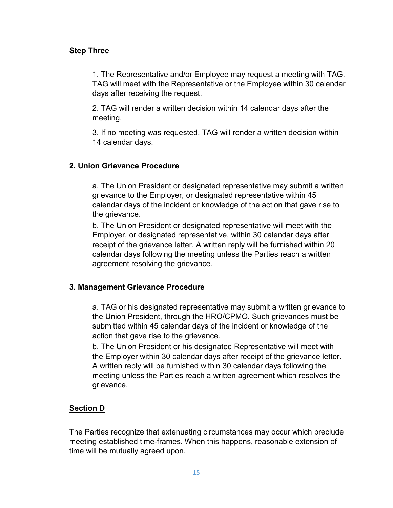## **Step Three**

1. The Representative and/or Employee may request a meeting with TAG. TAG will meet with the Representative or the Employee within 30 calendar days after receiving the request.

2. TAG will render a written decision within 14 calendar days after the meeting.

3. If no meeting was requested, TAG will render a written decision within 14 calendar days.

## **2. Union Grievance Procedure**

a. The Union President or designated representative may submit a written grievance to the Employer, or designated representative within 45 calendar days of the incident or knowledge of the action that gave rise to the grievance.

b. The Union President or designated representative will meet with the Employer, or designated representative, within 30 calendar days after receipt of the grievance letter. A written reply will be furnished within 20 calendar days following the meeting unless the Parties reach a written agreement resolving the grievance.

#### **3. Management Grievance Procedure**

a. TAG or his designated representative may submit a written grievance to the Union President, through the HRO/CPMO. Such grievances must be submitted within 45 calendar days of the incident or knowledge of the action that gave rise to the grievance.

b. The Union President or his designated Representative will meet with the Employer within 30 calendar days after receipt of the grievance letter. A written reply will be furnished within 30 calendar days following the meeting unless the Parties reach a written agreement which resolves the grievance.

## **Section D**

The Parties recognize that extenuating circumstances may occur which preclude meeting established time-frames. When this happens, reasonable extension of time will be mutually agreed upon.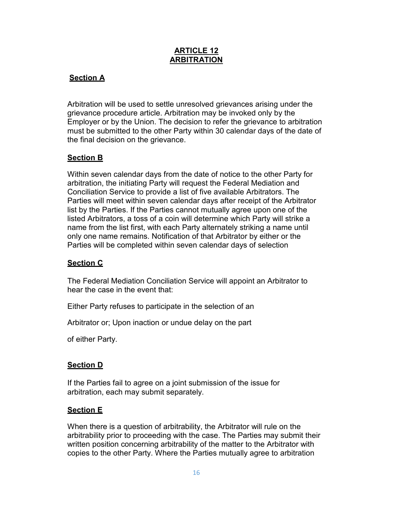## **ARTICLE 12 ARBITRATION**

## **Section A**

Arbitration will be used to settle unresolved grievances arising under the grievance procedure article. Arbitration may be invoked only by the Employer or by the Union. The decision to refer the grievance to arbitration must be submitted to the other Party within 30 calendar days of the date of the final decision on the grievance.

## **Section B**

Within seven calendar days from the date of notice to the other Party for arbitration, the initiating Party will request the Federal Mediation and Conciliation Service to provide a list of five available Arbitrators. The Parties will meet within seven calendar days after receipt of the Arbitrator list by the Parties. If the Parties cannot mutually agree upon one of the listed Arbitrators, a toss of a coin will determine which Party will strike a name from the list first, with each Party alternately striking a name until only one name remains. Notification of that Arbitrator by either or the Parties will be completed within seven calendar days of selection

## **Section C**

The Federal Mediation Conciliation Service will appoint an Arbitrator to hear the case in the event that:

Either Party refuses to participate in the selection of an

Arbitrator or; Upon inaction or undue delay on the part

of either Party.

## **Section D**

If the Parties fail to agree on a joint submission of the issue for arbitration, each may submit separately.

## **Section E**

When there is a question of arbitrability, the Arbitrator will rule on the arbitrability prior to proceeding with the case. The Parties may submit their written position concerning arbitrability of the matter to the Arbitrator with copies to the other Party. Where the Parties mutually agree to arbitration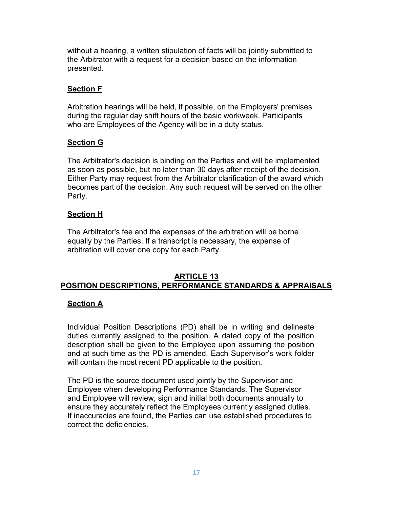without a hearing, a written stipulation of facts will be jointly submitted to the Arbitrator with a request for a decision based on the information presented.

## **Section F**

Arbitration hearings will be held, if possible, on the Employers' premises during the regular day shift hours of the basic workweek. Participants who are Employees of the Agency will be in a duty status.

## **Section G**

The Arbitrator's decision is binding on the Parties and will be implemented as soon as possible, but no later than 30 days after receipt of the decision. Either Party may request from the Arbitrator clarification of the award which becomes part of the decision. Any such request will be served on the other Party.

## **Section H**

The Arbitrator's fee and the expenses of the arbitration will be borne equally by the Parties. If a transcript is necessary, the expense of arbitration will cover one copy for each Party.

#### **ARTICLE 13 POSITION DESCRIPTIONS, PERFORMANCE STANDARDS & APPRAISALS**

#### **Section A**

Individual Position Descriptions (PD) shall be in writing and delineate duties currently assigned to the position. A dated copy of the position description shall be given to the Employee upon assuming the position and at such time as the PD is amended. Each Supervisor's work folder will contain the most recent PD applicable to the position.

The PD is the source document used jointly by the Supervisor and Employee when developing Performance Standards. The Supervisor and Employee will review, sign and initial both documents annually to ensure they accurately reflect the Employees currently assigned duties. If inaccuracies are found, the Parties can use established procedures to correct the deficiencies.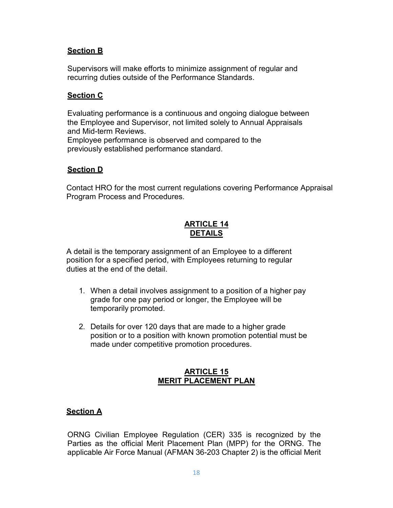## **Section B**

Supervisors will make efforts to minimize assignment of regular and recurring duties outside of the Performance Standards.

#### **Section C**

Evaluating performance is a continuous and ongoing dialogue between the Employee and Supervisor, not limited solely to Annual Appraisals and Mid-term Reviews.

Employee performance is observed and compared to the previously established performance standard.

#### **Section D**

Contact HRO for the most current regulations covering Performance Appraisal Program Process and Procedures.

## **ARTICLE 14 DETAILS**

A detail is the temporary assignment of an Employee to a different position for a specified period, with Employees returning to regular duties at the end of the detail.

- 1. When a detail involves assignment to a position of a higher pay grade for one pay period or longer, the Employee will be temporarily promoted.
- 2. Details for over 120 days that are made to a higher grade position or to a position with known promotion potential must be made under competitive promotion procedures.

## **ARTICLE 15 MERIT PLACEMENT PLAN**

#### **Section A**

ORNG Civilian Employee Regulation (CER) 335 is recognized by the Parties as the official Merit Placement Plan (MPP) for the ORNG. The applicable Air Force Manual (AFMAN 36-203 Chapter 2) is the official Merit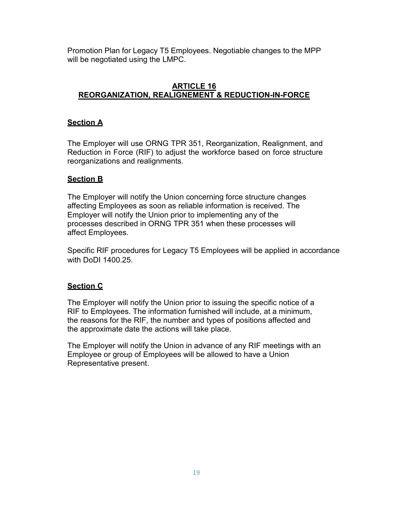Promotion Plan for Legacy T5 Employees. Negotiable changes to the MPP will be negotiated using the LMPC.

## **ARTICLE 16 REORGANIZATION, REALIGNEMENT & REDUCTION-IN-FORCE**

## **Section A**

The Employer will use ORNG TPR 351, Reorganization, Realignment, and Reduction in Force (RIF) to adjust the workforce based on force structure reorganizations and realignments.

## **Section B**

The Employer will notify the Union concerning force structure changes affecting Employees as soon as reliable information is received. The Employer will notify the Union prior to implementing any of the processes described in ORNG TPR 351 when these processes will affect Employees.

Specific RIF procedures for Legacy T5 Employees will be applied in accordance with DoDI 1400.25.

## **Section C**

The Employer will notify the Union prior to issuing the specific notice of a RIF to Employees. The information furnished will include, at a minimum, the reasons for the RIF, the number and types of positions affected and the approximate date the actions will take place.

The Employer will notify the Union in advance of any RIF meetings with an Employee or group of Employees will be allowed to have a Union Representative present.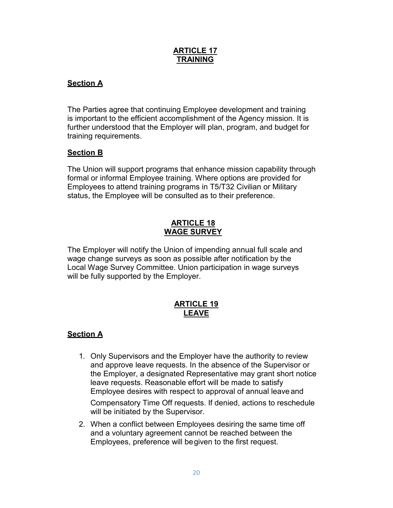## **ARTICLE 17 TRAINING**

## **Section A**

The Parties agree that continuing Employee development and training is important to the efficient accomplishment of the Agency mission. It is further understood that the Employer will plan, program, and budget for training requirements.

## **Section B**

The Union will support programs that enhance mission capability through formal or informal Employee training. Where options are provided for Employees to attend training programs in T5/T32 Civilian or Military status, the Employee will be consulted as to their preference.

#### **ARTICLE 18 WAGE SURVEY**

The Employer will notify the Union of impending annual full scale and wage change surveys as soon as possible after notification by the Local Wage Survey Committee. Union participation in wage surveys will be fully supported by the Employer.

## **ARTICLE 19 LEAVE**

#### **Section A**

1. Only Supervisors and the Employer have the authority to review and approve leave requests. In the absence of the Supervisor or the Employer, a designated Representative may grant short notice leave requests. Reasonable effort will be made to satisfy Employee desires with respect to approval of annual leave and

Compensatory Time Off requests. If denied, actions to reschedule will be initiated by the Supervisor.

2. When a conflict between Employees desiring the same time off and a voluntary agreement cannot be reached between the Employees, preference will begiven to the first request.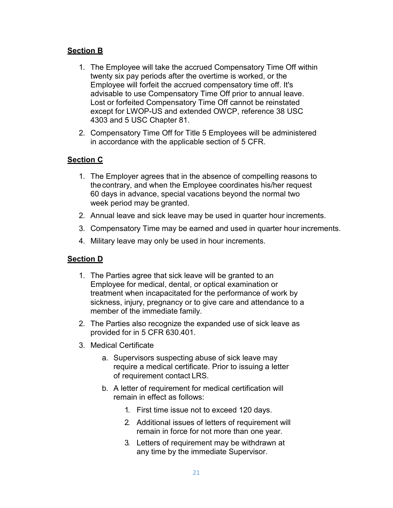## **Section B**

- 1. The Employee will take the accrued Compensatory Time Off within twenty six pay periods after the overtime is worked, or the Employee will forfeit the accrued compensatory time off. It's advisable to use Compensatory Time Off prior to annual leave. Lost or forfeited Compensatory Time Off cannot be reinstated except for LWOP-US and extended OWCP, reference 38 USC 4303 and 5 USC Chapter 81.
- 2. Compensatory Time Off for Title 5 Employees will be administered in accordance with the applicable section of 5 [CFR.](http://www.gpo.gov/fdsys/pkg/CFR-2010-title5-vol1/xml/CFR-2010-title5-vol1.xml)

## **Section C**

- 1. The Employer agrees that in the absence of compelling reasons to thecontrary, and when the Employee coordinates his/her request 60 days in advance, special vacations beyond the normal two week period may be granted.
- 2. Annual leave and sick leave may be used in quarter hour increments.
- 3. Compensatory Time may be earned and used in quarter hour increments.
- 4. Military leave may only be used in hour increments.

#### **Section D**

- 1. The Parties agree that sick leave will be granted to an Employee for medical, dental, or optical examination or treatment when incapacitated for the performance of work by sickness, injury, pregnancy or to give care and attendance to a member of the immediate family.
- 2. The Parties also recognize the expanded use of sick leave as provided for in 5 CFR 630.401.
- 3. Medical Certificate
	- a. Supervisors suspecting abuse of sick leave may require a medical certificate. Prior to issuing a letter of requirement contact LRS.
	- b. A letter of requirement for medical certification will remain in effect as follows:
		- 1. First time issue not to exceed 120 days.
		- 2. Additional issues of letters of requirement will remain in force for not more than one year.
		- 3. Letters of requirement may be withdrawn at any time by the immediate Supervisor.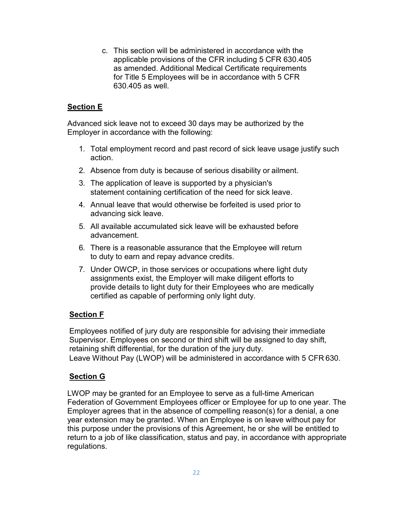c. This section will be administered in accordance with the applicable provisions of the CFR including [5 CFR 630.405](http://www.gpo.gov/fdsys/pkg/CFR-2010-title5-vol1/xml/CFR-2010-title5-vol1-part630.xml) as amended. Additional Medical Certificate requirements for Title 5 Employees will be in accordance with [5 CFR](http://www.gpo.gov/fdsys/pkg/CFR-2010-title5-vol1/xml/CFR-2010-title5-vol1-part630.xml)  [630.405](http://www.gpo.gov/fdsys/pkg/CFR-2010-title5-vol1/xml/CFR-2010-title5-vol1-part630.xml) as well.

## **Section E**

Advanced sick leave not to exceed 30 days may be authorized by the Employer in accordance with the following:

- 1. Total employment record and past record of sick leave usage justify such action.
- 2. Absence from duty is because of serious disability or ailment.
- 3. The application of leave is supported by a physician's statement containing certification of the need for sick leave.
- 4. Annual leave that would otherwise be forfeited is used prior to advancing sick leave.
- 5. All available accumulated sick leave will be exhausted before advancement.
- 6. There is a reasonable assurance that the Employee will return to duty to earn and repay advance credits.
- 7. Under OWCP, in those services or occupations where light duty assignments exist, the Employer will make diligent efforts to provide details to light duty for their Employees who are medically certified as capable of performing only light duty.

## **Section F**

Employees notified of jury duty are responsible for advising their immediate Supervisor. Employees on second or third shift will be assigned to day shift, retaining shift differential, for the duration of the jury duty. Leave Without Pay (LWOP) will be administered in accordance with 5 CFR 630.

#### **Section G**

LWOP may be granted for an Employee to serve as a full-time American Federation of Government Employees officer or Employee for up to one year. The Employer agrees that in the absence of compelling reason(s) for a denial, a one year extension may be granted. When an Employee is on leave without pay for this purpose under the provisions of this Agreement, he or she will be entitled to return to a job of like classification, status and pay, in accordance with appropriate regulations.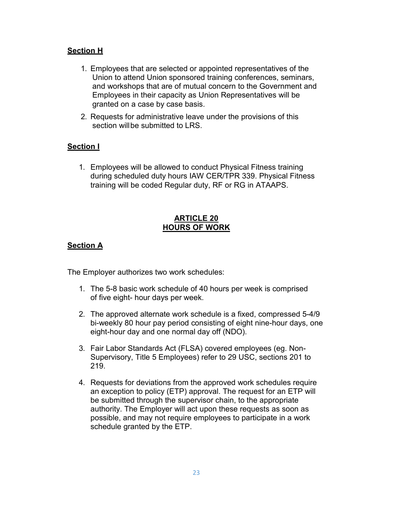## **Section H**

- 1. Employees that are selected or appointed representatives of the Union to attend Union sponsored training conferences, seminars, and workshops that are of mutual concern to the Government and Employees in their capacity as Union Representatives will be granted on a case by case basis.
- 2. Requests for administrative leave under the provisions of this section willbe submitted to LRS.

## **Section I**

1. Employees will be allowed to conduct Physical Fitness training during scheduled duty hours IAW CER/TPR 339. Physical Fitness training will be coded Regular duty, RF or RG in ATAAPS.

## **ARTICLE 20 HOURS OF WORK**

## **Section A**

The Employer authorizes two work schedules:

- 1. The 5-8 basic work schedule of 40 hours per week is comprised of five eight- hour days per week.
- 2. The approved alternate work schedule is a fixed, compressed 5-4/9 bi-weekly 80 hour pay period consisting of eight nine-hour days, one eight-hour day and one normal day off (NDO).
- 3. Fair Labor Standards Act (FLSA) covered employees (eg. Non-Supervisory, Title 5 Employees) refer to 29 USC, sections 201 to 219.
- 4. Requests for deviations from the approved work schedules require an exception to policy (ETP) approval. The request for an ETP will be submitted through the supervisor chain, to the appropriate authority. The Employer will act upon these requests as soon as possible, and may not require employees to participate in a work schedule granted by the ETP.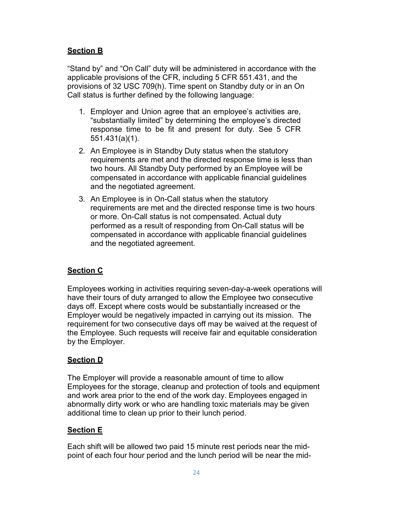## **Section B**

"Stand by" and "On Call" duty will be administered in accordance with the applicable provisions of the CFR, including [5 CFR 551.431,](http://www.gpo.gov/fdsys/pkg/CFR-2010-title5-vol1/xml/CFR-2010-title5-vol1-part551.xml) and the provisions of [32 USC 709\(h\).](http://uscode.house.gov/download/pls/32C7.txt) Time spent on Standby duty or in an On Call status is further defined by the following language:

- 1. Employer and Union agree that an employee's activities are, "substantially limited" by determining the employee's directed response time to be fit and present for duty. See 5 CFR 551.431(a)(1).
- 2. An Employee is in Standby Duty status when the statutory requirements are met and the directed response time is less than two hours. All Standby Duty performed by an Employee will be compensated in accordance with applicable financial guidelines and the negotiated agreement.
- 3. An Employee is in On-Call status when the statutory requirements are met and the directed response time is two hours or more. On-Call status is not compensated. Actual duty performed as a result of responding from On-Call status will be compensated in accordance with applicable financial guidelines and the negotiated agreement.

## **Section C**

Employees working in activities requiring seven-day-a-week operations will have their tours of duty arranged to allow the Employee two consecutive days off. Except where costs would be substantially increased or the Employer would be negatively impacted in carrying out its mission. The requirement for two consecutive days off may be waived at the request of the Employee. Such requests will receive fair and equitable consideration by the Employer.

## **Section D**

The Employer will provide a reasonable amount of time to allow Employees for the storage, cleanup and protection of tools and equipment and work area prior to the end of the work day. Employees engaged in abnormally dirty work or who are handling toxic materials may be given additional time to clean up prior to their lunch period.

## **Section E**

Each shift will be allowed two paid 15 minute rest periods near the midpoint of each four hour period and the lunch period will be near the mid-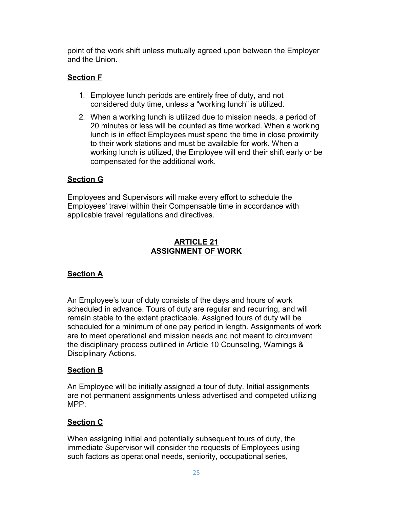point of the work shift unless mutually agreed upon between the Employer and the Union.

## **Section F**

- 1. Employee lunch periods are entirely free of duty, and not considered duty time, unless a "working lunch" is utilized.
- 2. When a working lunch is utilized due to mission needs, a period of 20 minutes or less will be counted as time worked. When a working lunch is in effect Employees must spend the time in close proximity to their work stations and must be available for work. When a working lunch is utilized, the Employee will end their shift early or be compensated for the additional work.

## **Section G**

Employees and Supervisors will make every effort to schedule the Employees' travel within their Compensable time in accordance with applicable travel regulations and directives.

## **ARTICLE 21 ASSIGNMENT OF WORK**

## **Section A**

An Employee's tour of duty consists of the days and hours of work scheduled in advance. Tours of duty are regular and recurring, and will remain stable to the extent practicable. Assigned tours of duty will be scheduled for a minimum of one pay period in length. Assignments of work are to meet operational and mission needs and not meant to circumvent the disciplinary process outlined in Article 10 Counseling, Warnings & Disciplinary Actions.

## **Section B**

An Employee will be initially assigned a tour of duty. Initial assignments are not permanent assignments unless advertised and competed utilizing MPP.

## **Section C**

When assigning initial and potentially subsequent tours of duty, the immediate Supervisor will consider the requests of Employees using such factors as operational needs, seniority, occupational series,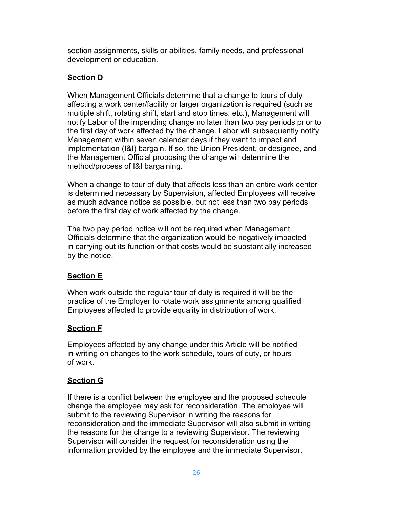section assignments, skills or abilities, family needs, and professional development or education.

## **Section D**

When Management Officials determine that a change to tours of duty affecting a work center/facility or larger organization is required (such as multiple shift, rotating shift, start and stop times, etc.), Management will notify Labor of the impending change no later than two pay periods prior to the first day of work affected by the change. Labor will subsequently notify Management within seven calendar days if they want to impact and implementation (I&I) bargain. If so, the Union President, or designee, and the Management Official proposing the change will determine the method/process of I&I bargaining.

When a change to tour of duty that affects less than an entire work center is determined necessary by Supervision, affected Employees will receive as much advance notice as possible, but not less than two pay periods before the first day of work affected by the change.

The two pay period notice will not be required when Management Officials determine that the organization would be negatively impacted in carrying out its function or that costs would be substantially increased by the notice.

## **Section E**

When work outside the regular tour of duty is required it will be the practice of the Employer to rotate work assignments among qualified Employees affected to provide equality in distribution of work.

## **Section F**

Employees affected by any change under this Article will be notified in writing on changes to the work schedule, tours of duty, or hours of work.

## **Section G**

If there is a conflict between the employee and the proposed schedule change the employee may ask for reconsideration. The employee will submit to the reviewing Supervisor in writing the reasons for reconsideration and the immediate Supervisor will also submit in writing the reasons for the change to a reviewing Supervisor. The reviewing Supervisor will consider the request for reconsideration using the information provided by the employee and the immediate Supervisor.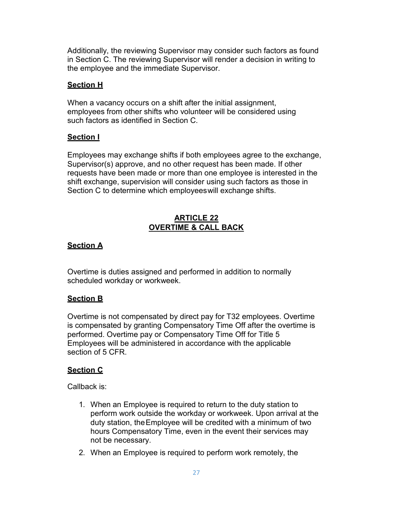Additionally, the reviewing Supervisor may consider such factors as found in Section C. The reviewing Supervisor will render a decision in writing to the employee and the immediate Supervisor.

## **Section H**

When a vacancy occurs on a shift after the initial assignment, employees from other shifts who volunteer will be considered using such factors as identified in Section C.

## **Section I**

Employees may exchange shifts if both employees agree to the exchange, Supervisor(s) approve, and no other request has been made. If other requests have been made or more than one employee is interested in the shift exchange, supervision will consider using such factors as those in Section C to determine which employeeswill exchange shifts.

## **ARTICLE 22 OVERTIME & CALL BACK**

## **Section A**

Overtime is duties assigned and performed in addition to normally scheduled workday or workweek.

## **Section B**

Overtime is not compensated by direct pay for T32 employees. Overtime is compensated by granting Compensatory Time Off after the overtime is performed. Overtime pay or Compensatory Time Off for Title 5 Employees will be administered in accordance with the applicable section of [5 CFR.](http://www.gpo.gov/fdsys/pkg/CFR-2010-title5-vol1/xml/CFR-2010-title5-vol1.xml)

## **Section C**

Callback is:

- 1. When an Employee is required to return to the duty station to perform work outside the workday or workweek. Upon arrival at the duty station, theEmployee will be credited with a minimum of two hours Compensatory Time, even in the event their services may not be necessary.
- 2. When an Employee is required to perform work remotely, the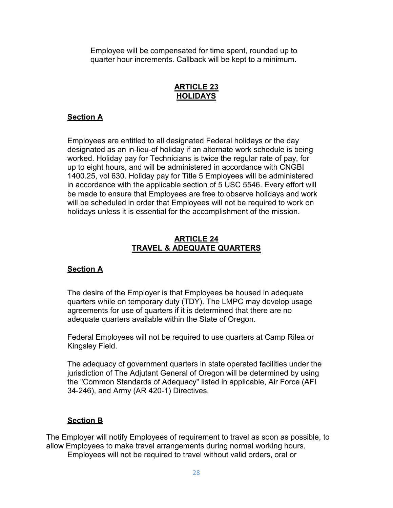Employee will be compensated for time spent, rounded up to quarter hour increments. Callback will be kept to a minimum.

## **ARTICLE 23 HOLIDAYS**

## **Section A**

Employees are entitled to all designated Federal holidays or the day designated as an in-lieu-of holiday if an alternate work schedule is being worked. Holiday pay for Technicians is twice the regular rate of pay, for up to eight hours, and will be administered in accordance with CNGBI 1400.25, vol 630. Holiday pay for Title 5 Employees will be administered in accordance with the applicable section of 5 USC 5546. Every effort will be made to ensure that Employees are free to observe holidays and work will be scheduled in order that Employees will not be required to work on holidays unless it is essential for the accomplishment of the mission.

#### **ARTICLE 24 TRAVEL & ADEQUATE QUARTERS**

#### **Section A**

The desire of the Employer is that Employees be housed in adequate quarters while on temporary duty (TDY). The LMPC may develop usage agreements for use of quarters if it is determined that there are no adequate quarters available within the State of Oregon.

Federal Employees will not be required to use quarters at Camp Rilea or Kingsley Field.

The adequacy of government quarters in state operated facilities under the jurisdiction of The Adjutant General of Oregon will be determined by using the "Common Standards of Adequacy" listed in applicable, Air Force (AFI 34-246), and Army (AR 420-1) Directives.

#### **Section B**

The Employer will notify Employees of requirement to travel as soon as possible, to allow Employees to make travel arrangements during normal working hours.

Employees will not be required to travel without valid orders, oral or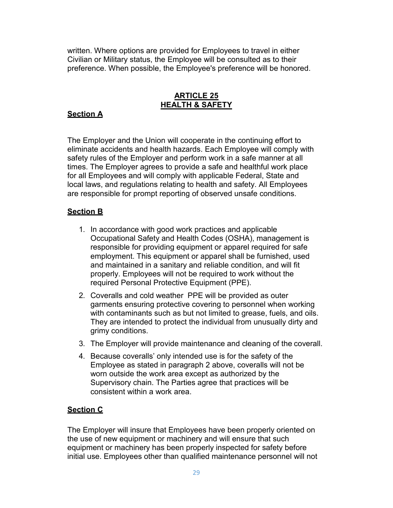written. Where options are provided for Employees to travel in either Civilian or Military status, the Employee will be consulted as to their preference. When possible, the Employee's preference will be honored.

## **ARTICLE 25 HEALTH & SAFETY**

## **Section A**

The Employer and the Union will cooperate in the continuing effort to eliminate accidents and health hazards. Each Employee will comply with safety rules of the Employer and perform work in a safe manner at all times. The Employer agrees to provide a safe and healthful work place for all Employees and will comply with applicable Federal, State and local laws, and regulations relating to health and safety. All Employees are responsible for prompt reporting of observed unsafe conditions.

## **Section B**

- 1. In accordance with good work practices and applicable Occupational Safety and Health Codes (OSHA), management is responsible for providing equipment or apparel required for safe employment. This equipment or apparel shall be furnished, used and maintained in a sanitary and reliable condition, and will fit properly. Employees will not be required to work without the required Personal Protective Equipment (PPE).
- 2. Coveralls and cold weather PPE will be provided as outer garments ensuring protective covering to personnel when working with contaminants such as but not limited to grease, fuels, and oils. They are intended to protect the individual from unusually dirty and grimy conditions.
- 3. The Employer will provide maintenance and cleaning of the coverall.
- 4. Because coveralls' only intended use is for the safety of the Employee as stated in paragraph 2 above, coveralls will not be worn outside the work area except as authorized by the Supervisory chain. The Parties agree that practices will be consistent within a work area.

#### **Section C**

The Employer will insure that Employees have been properly oriented on the use of new equipment or machinery and will ensure that such equipment or machinery has been properly inspected for safety before initial use. Employees other than qualified maintenance personnel will not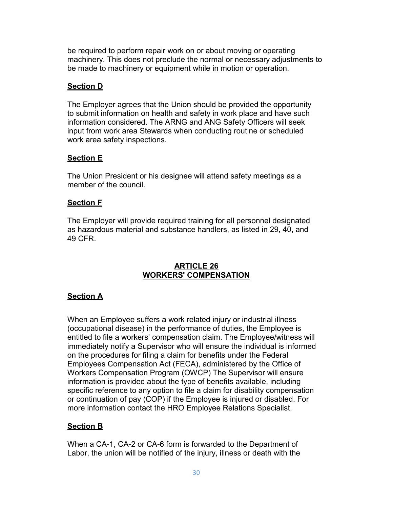be required to perform repair work on or about moving or operating machinery. This does not preclude the normal or necessary adjustments to be made to machinery or equipment while in motion or operation.

## **Section D**

The Employer agrees that the Union should be provided the opportunity to submit information on health and safety in work place and have such information considered. The ARNG and ANG Safety Officers will seek input from work area Stewards when conducting routine or scheduled work area safety inspections.

## **Section E**

The Union President or his designee will attend safety meetings as a member of the council.

## **Section F**

The Employer will provide required training for all personnel designated as hazardous material and substance handlers, as listed in 29, 40, and 49 CFR.

## **ARTICLE 26 WORKERS' COMPENSATION**

## **Section A**

When an Employee suffers a work related injury or industrial illness (occupational disease) in the performance of duties, the Employee is entitled to file a workers' compensation claim. The Employee/witness will immediately notify a Supervisor who will ensure the individual is informed on the procedures for filing a claim for benefits under the Federal Employees Compensation Act (FECA), administered by the Office of Workers Compensation Program (OWCP) The Supervisor will ensure information is provided about the type of benefits available, including specific reference to any option to file a claim for disability compensation or continuation of pay (COP) if the Employee is injured or disabled. For more information contact the HRO Employee Relations Specialist.

## **Section B**

When a CA-1, CA-2 or CA-6 form is forwarded to the Department of Labor, the union will be notified of the injury, illness or death with the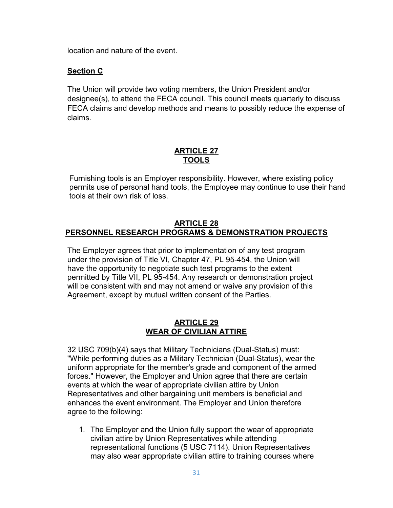location and nature of the event.

#### **Section C**

The Union will provide two voting members, the Union President and/or designee(s), to attend the FECA council. This council meets quarterly to discuss FECA claims and develop methods and means to possibly reduce the expense of claims.

## **ARTICLE 27 TOOLS**

Furnishing tools is an Employer responsibility. However, where existing policy permits use of personal hand tools, the Employee may continue to use their hand tools at their own risk of loss.

## **ARTICLE 28 PERSONNEL RESEARCH PROGRAMS & DEMONSTRATION PROJECTS**

The Employer agrees that prior to implementation of any test program under the provision of Title VI, Chapter 47, PL 95-454, the Union will have the opportunity to negotiate such test programs to the extent permitted by Title VII, PL 95-454. Any research or demonstration project will be consistent with and may not amend or waive any provision of this Agreement, except by mutual written consent of the Parties.

#### **ARTICLE 29 WEAR OF CIVILIAN ATTIRE**

32 USC 709(b)(4) says that Military Technicians (Dual-Status) must: "While performing duties as a Military Technician (Dual-Status), wear the uniform appropriate for the member's grade and component of the armed forces." However, the Employer and Union agree that there are certain events at which the wear of appropriate civilian attire by Union Representatives and other bargaining unit members is beneficial and enhances the event environment. The Employer and Union therefore agree to the following:

1. The Employer and the Union fully support the wear of appropriate civilian attire by Union Representatives while attending representational functions (5 USC 7114). Union Representatives may also wear appropriate civilian attire to training courses where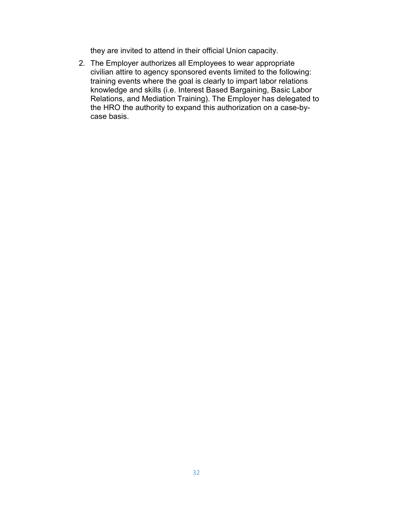they are invited to attend in their official Union capacity.

2. The Employer authorizes all Employees to wear appropriate civilian attire to agency sponsored events limited to the following: training events where the goal is clearly to impart labor relations knowledge and skills (i.e. Interest Based Bargaining, Basic Labor Relations, and Mediation Training). The Employer has delegated to the HRO the authority to expand this authorization on a case-bycase basis.